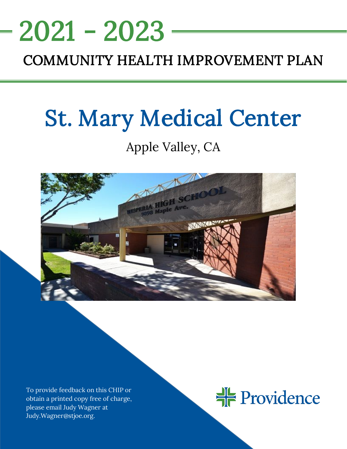## <u>NEEDS ASSESSMENT ASSESSMENT ASSESS</u> COMMUNITY HEALTH IMPROVEMENT PLAN 2021 - 2023

# St. Mary Medical Center

## Apple Valley, CA



To provide feedback on this CHIP or obtain a printed copy free of charge, please email Judy Wagner at Judy.Wagner@stjoe.org.

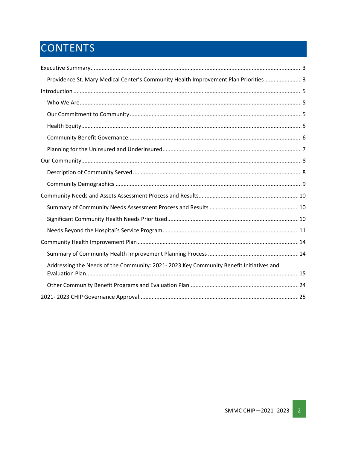## CONTENTS

| Providence St. Mary Medical Center's Community Health Improvement Plan Priorities 3    |
|----------------------------------------------------------------------------------------|
|                                                                                        |
|                                                                                        |
|                                                                                        |
|                                                                                        |
|                                                                                        |
|                                                                                        |
|                                                                                        |
|                                                                                        |
|                                                                                        |
|                                                                                        |
|                                                                                        |
|                                                                                        |
|                                                                                        |
|                                                                                        |
|                                                                                        |
| Addressing the Needs of the Community: 2021-2023 Key Community Benefit Initiatives and |
|                                                                                        |
|                                                                                        |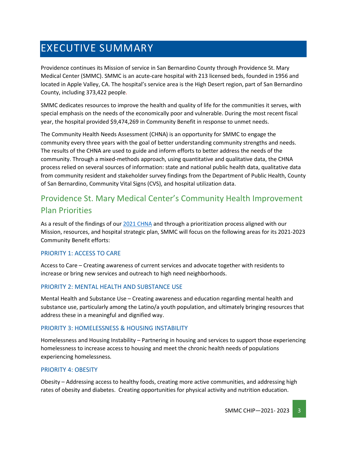## <span id="page-2-0"></span>EXECUTIVE SUMMARY

Providence continues its Mission of service in San Bernardino County through Providence St. Mary Medical Center (SMMC). SMMC is an acute-care hospital with 213 licensed beds, founded in 1956 and located in Apple Valley, CA. The hospital's service area is the High Desert region, part of San Bernardino County, including 373,422 people.

SMMC dedicates resources to improve the health and quality of life for the communities it serves, with special emphasis on the needs of the economically poor and vulnerable. During the most recent fiscal year, the hospital provided \$9,474,269 in Community Benefit in response to unmet needs.

The Community Health Needs Assessment (CHNA) is an opportunity for SMMC to engage the community every three years with the goal of better understanding community strengths and needs. The results of the CHNA are used to guide and inform efforts to better address the needs of the community. Through a mixed-methods approach, using quantitative and qualitative data, the CHNA process relied on several sources of information: state and national public health data, qualitative data from community resident and stakeholder survey findings from the Department of Public Health, County of San Bernardino, Community Vital Signs (CVS), and hospital utilization data.

## <span id="page-2-1"></span>Providence St. Mary Medical Center's Community Health Improvement Plan Priorities

As a result of the findings of our 2021 [CHNA](https://www.providence.org/about/annual-report/chna-and-chip-reports) and through a prioritization process aligned with our Mission, resources, and hospital strategic plan, SMMC will focus on the following areas for its 2021-2023 Community Benefit efforts:

#### PRIORITY 1: ACCESS TO CARE

Access to Care – Creating awareness of current services and advocate together with residents to increase or bring new services and outreach to high need neighborhoods.

#### PRIORITY 2: MENTAL HEALTH AND SUBSTANCE USE

Mental Health and Substance Use – Creating awareness and education regarding mental health and substance use, particularly among the Latino/a youth population, and ultimately bringing resources that address these in a meaningful and dignified way.

#### PRIORITY 3: HOMELESSNESS & HOUSING INSTABILITY

Homelessness and Housing Instability – Partnering in housing and services to support those experiencing homelessness to increase access to housing and meet the chronic health needs of populations experiencing homelessness.

#### PRIORITY 4: OBESITY

Obesity – Addressing access to healthy foods, creating more active communities, and addressing high rates of obesity and diabetes. Creating opportunities for physical activity and nutrition education.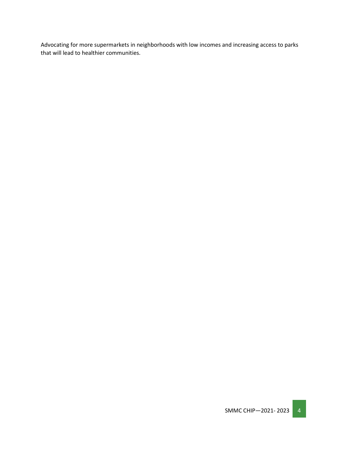Advocating for more supermarkets in neighborhoods with low incomes and increasing access to parks that will lead to healthier communities.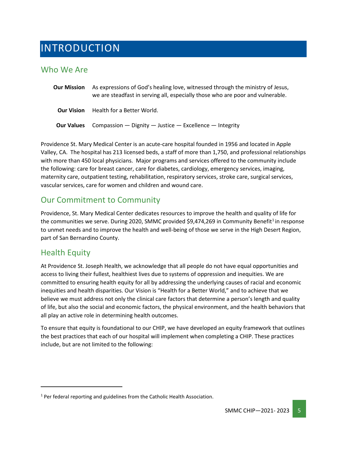## <span id="page-4-0"></span>INTRODUCTION

### <span id="page-4-1"></span>Who We Are

**Our Mission** As expressions of God's healing love, witnessed through the ministry of Jesus, we are steadfast in serving all, especially those who are poor and vulnerable. **Our Vision** Health for a Better World. **Our Values** Compassion — Dignity — Justice — Excellence — Integrity

Providence St. Mary Medical Center is an acute-care hospital founded in 1956 and located in Apple Valley, CA. The hospital has 213 licensed beds, a staff of more than 1,750, and professional relationships with more than 450 local physicians. Major programs and services offered to the community include the following: care for breast cancer, care for diabetes, cardiology, emergency services, imaging, maternity care, outpatient testing, rehabilitation, respiratory services, stroke care, surgical services, vascular services, care for women and children and wound care.

## <span id="page-4-2"></span>Our Commitment to Community

Providence, St. Mary Medical Center dedicates resources to improve the health and quality of life for the communities we serve. During 2020, SMMC provided  $$9,474,269$  in Community Benefit<sup>[1](#page-4-4)</sup> in response to unmet needs and to improve the health and well-being of those we serve in the High Desert Region, part of San Bernardino County.

### <span id="page-4-3"></span>Health Equity

At Providence St. Joseph Health, we acknowledge that all people do not have equal opportunities and access to living their fullest, healthiest lives due to systems of oppression and inequities. We are committed to ensuring health equity for all by addressing the underlying causes of racial and economic inequities and health disparities. Our Vision is "Health for a Better World," and to achieve that we believe we must address not only the clinical care factors that determine a person's length and quality of life, but also the social and economic factors, the physical environment, and the health behaviors that all play an active role in determining health outcomes.

To ensure that equity is foundational to our CHIP, we have developed an equity framework that outlines the best practices that each of our hospital will implement when completing a CHIP. These practices include, but are not limited to the following:

<span id="page-4-4"></span> $1$  Per federal reporting and guidelines from the Catholic Health Association.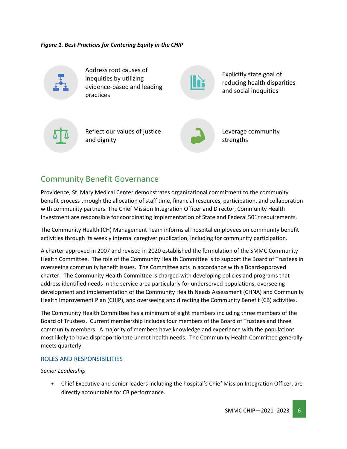*Figure 1. Best Practices for Centering Equity in the CHIP*



Address root causes of inequities by utilizing evidence-based and leading practices

Explicitly state goal of reducing health disparities and social inequities



Reflect our values of justice and dignity



Leverage community strengths

## <span id="page-5-0"></span>Community Benefit Governance

Providence, St. Mary Medical Center demonstrates organizational commitment to the community benefit process through the allocation of staff time, financial resources, participation, and collaboration with community partners. The Chief Mission Integration Officer and Director, Community Health Investment are responsible for coordinating implementation of State and Federal 501r requirements.

The Community Health (CH) Management Team informs all hospital employees on community benefit activities through its weekly internal caregiver publication, including for community participation.

A charter approved in 2007 and revised in 2020 established the formulation of the SMMC Community Health Committee. The role of the Community Health Committee is to support the Board of Trustees in overseeing community benefit issues. The Committee acts in accordance with a Board-approved charter. The Community Health Committee is charged with developing policies and programs that address identified needs in the service area particularly for underserved populations, overseeing development and implementation of the Community Health Needs Assessment (CHNA) and Community Health Improvement Plan (CHIP), and overseeing and directing the Community Benefit (CB) activities.

The Community Health Committee has a minimum of eight members including three members of the Board of Trustees. Current membership includes four members of the Board of Trustees and three community members. A majority of members have knowledge and experience with the populations most likely to have disproportionate unmet health needs. The Community Health Committee generally meets quarterly.

#### ROLES AND RESPONSIBILITIES

#### *Senior Leadership*

• Chief Executive and senior leaders including the hospital's Chief Mission Integration Officer, are directly accountable for CB performance.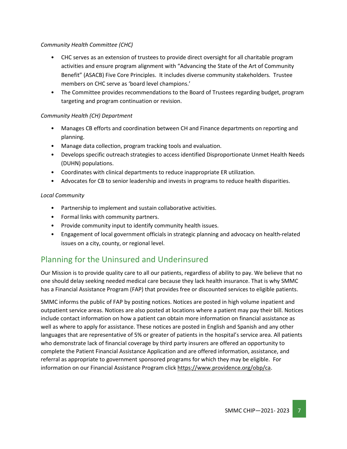#### *Community Health Committee (CHC)*

- CHC serves as an extension of trustees to provide direct oversight for all charitable program activities and ensure program alignment with "Advancing the State of the Art of Community Benefit" (ASACB) Five Core Principles. It includes diverse community stakeholders. Trustee members on CHC serve as 'board level champions.'
- The Committee provides recommendations to the Board of Trustees regarding budget, program targeting and program continuation or revision.

#### *Community Health (CH) Department*

- Manages CB efforts and coordination between CH and Finance departments on reporting and planning.
- Manage data collection, program tracking tools and evaluation.
- Develops specific outreach strategies to access identified Disproportionate Unmet Health Needs (DUHN) populations.
- Coordinates with clinical departments to reduce inappropriate ER utilization.
- Advocates for CB to senior leadership and invests in programs to reduce health disparities.

#### *Local Community*

- Partnership to implement and sustain collaborative activities.
- Formal links with community partners.
- Provide community input to identify community health issues.
- Engagement of local government officials in strategic planning and advocacy on health-related issues on a city, county, or regional level.

## <span id="page-6-0"></span>Planning for the Uninsured and Underinsured

Our Mission is to provide quality care to all our patients, regardless of ability to pay. We believe that no one should delay seeking needed medical care because they lack health insurance. That is why SMMC has a Financial Assistance Program (FAP) that provides free or discounted services to eligible patients.

SMMC informs the public of FAP by posting notices. Notices are posted in high volume inpatient and outpatient service areas. Notices are also posted at locations where a patient may pay their bill. Notices include contact information on how a patient can obtain more information on financial assistance as well as where to apply for assistance. These notices are posted in English and Spanish and any other languages that are representative of 5% or greater of patients in the hospital's service area. All patients who demonstrate lack of financial coverage by third party insurers are offered an opportunity to complete the Patient Financial Assistance Application and are offered information, assistance, and referral as appropriate to government sponsored programs for which they may be eligible. For information on our Financial Assistance Program click [https://www.providence.org/obp/ca.](https://www.providence.org/obp/ca)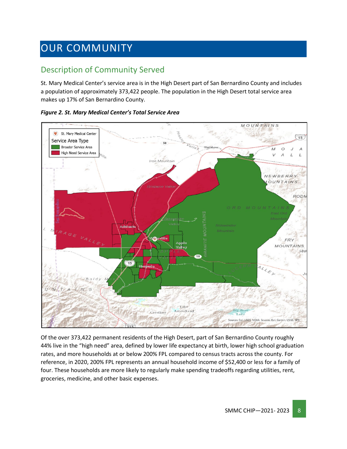## <span id="page-7-0"></span>OUR COMMUNITY

## <span id="page-7-1"></span>Description of Community Served

St. Mary Medical Center's service area is in the High Desert part of San Bernardino County and includes a population of approximately 373,422 people. The population in the High Desert total service area makes up 17% of San Bernardino County.



*Figure 2. St. Mary Medical Center's Total Service Area*

Of the over 373,422 permanent residents of the High Desert, part of San Bernardino County roughly 44% live in the "high need" area, defined by lower life expectancy at birth, lower high school graduation rates, and more households at or below 200% FPL compared to census tracts across the county. For reference, in 2020, 200% FPL represents an annual household income of \$52,400 or less for a family of four. These households are more likely to regularly make spending tradeoffs regarding utilities, rent, groceries, medicine, and other basic expenses.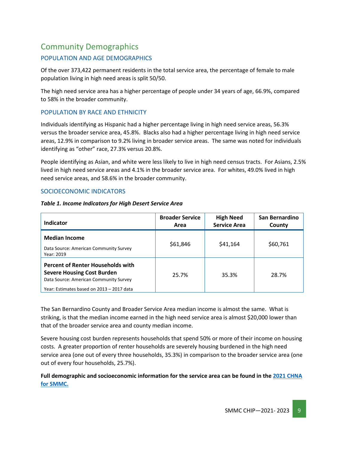## <span id="page-8-0"></span>Community Demographics

#### POPULATION AND AGE DEMOGRAPHICS

Of the over 373,422 permanent residents in the total service area, the percentage of female to male population living in high need areas is split 50/50.

The high need service area has a higher percentage of people under 34 years of age, 66.9%, compared to 58% in the broader community.

#### POPULATION BY RACE AND ETHNICITY

Individuals identifying as Hispanic had a higher percentage living in high need service areas, 56.3% versus the broader service area, 45.8%. Blacks also had a higher percentage living in high need service areas, 12.9% in comparison to 9.2% living in broader service areas. The same was noted for individuals identifying as "other" race, 27.3% versus 20.8%.

People identifying as Asian, and white were less likely to live in high need census tracts. For Asians, 2.5% lived in high need service areas and 4.1% in the broader service area. For whites, 49.0% lived in high need service areas, and 58.6% in the broader community.

#### SOCIOECONOMIC INDICATORS

|  | Table 1. Income Indicators for High Desert Service Area |
|--|---------------------------------------------------------|
|--|---------------------------------------------------------|

| Indicator                                                                                                                                                            | <b>Broader Service</b><br>Area | <b>High Need</b><br><b>Service Area</b> | San Bernardino<br>County |
|----------------------------------------------------------------------------------------------------------------------------------------------------------------------|--------------------------------|-----------------------------------------|--------------------------|
| <b>Median Income</b><br>Data Source: American Community Survey<br>Year: 2019                                                                                         | \$61,846                       | \$41,164                                | \$60,761                 |
| <b>Percent of Renter Households with</b><br><b>Severe Housing Cost Burden</b><br>Data Source: American Community Survey<br>Year: Estimates based on 2013 - 2017 data | 25.7%                          | 35.3%                                   | 28.7%                    |

The San Bernardino County and Broader Service Area median income is almost the same. What is striking, is that the median income earned in the high need service area is almost \$20,000 lower than that of the broader service area and county median income.

Severe housing cost burden represents households that spend 50% or more of their income on housing costs. A greater proportion of renter households are severely housing burdened in the high need service area (one out of every three households, 35.3%) in comparison to the broader service area (one out of every four households, 25.7%).

#### **Full demographic and socioeconomic information for the service area can be found in the [2021 CHNA](https://www.providence.org/about/annual-report/chna-and-chip-reports)  [for SMMC.](https://www.providence.org/about/annual-report/chna-and-chip-reports)**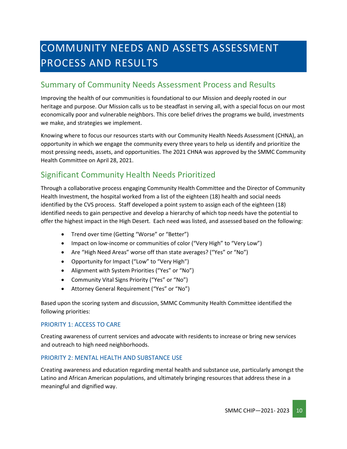## <span id="page-9-0"></span>COMMUNITY NEEDS AND ASSETS ASSESSMENT PROCESS AND RESULTS

## <span id="page-9-1"></span>Summary of Community Needs Assessment Process and Results

Improving the health of our communities is foundational to our Mission and deeply rooted in our heritage and purpose. Our Mission calls us to be steadfast in serving all, with a special focus on our most economically poor and vulnerable neighbors. This core belief drives the programs we build, investments we make, and strategies we implement.

Knowing where to focus our resources starts with our Community Health Needs Assessment (CHNA), an opportunity in which we engage the community every three years to help us identify and prioritize the most pressing needs, assets, and opportunities. The 2021 CHNA was approved by the SMMC Community Health Committee on April 28, 2021.

## <span id="page-9-2"></span>Significant Community Health Needs Prioritized

Through a collaborative process engaging Community Health Committee and the Director of Community Health Investment, the hospital worked from a list of the eighteen (18) health and social needs identified by the CVS process. Staff developed a point system to assign each of the eighteen (18) identified needs to gain perspective and develop a hierarchy of which top needs have the potential to offer the highest impact in the High Desert. Each need was listed, and assessed based on the following:

- Trend over time (Getting "Worse" or "Better")
- Impact on low-income or communities of color ("Very High" to "Very Low")
- Are "High Need Areas" worse off than state averages? ("Yes" or "No")
- Opportunity for Impact ("Low" to "Very High")
- Alignment with System Priorities ("Yes" or "No")
- Community Vital Signs Priority ("Yes" or "No")
- Attorney General Requirement ("Yes" or "No")

Based upon the scoring system and discussion, SMMC Community Health Committee identified the following priorities:

#### PRIORITY 1: ACCESS TO CARE

Creating awareness of current services and advocate with residents to increase or bring new services and outreach to high need neighborhoods.

#### PRIORITY 2: MENTAL HEALTH AND SUBSTANCE USE

Creating awareness and education regarding mental health and substance use, particularly amongst the Latino and African American populations, and ultimately bringing resources that address these in a meaningful and dignified way.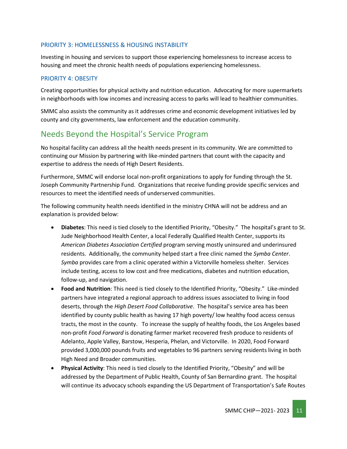#### PRIORITY 3: HOMELESSNESS & HOUSING INSTABILITY

Investing in housing and services to support those experiencing homelessness to increase access to housing and meet the chronic health needs of populations experiencing homelessness.

#### PRIORITY 4: OBESITY

Creating opportunities for physical activity and nutrition education. Advocating for more supermarkets in neighborhoods with low incomes and increasing access to parks will lead to healthier communities.

SMMC also assists the community as it addresses crime and economic development initiatives led by county and city governments, law enforcement and the education community.

## <span id="page-10-0"></span>Needs Beyond the Hospital's Service Program

No hospital facility can address all the health needs present in its community. We are committed to continuing our Mission by partnering with like-minded partners that count with the capacity and expertise to address the needs of High Desert Residents.

Furthermore, SMMC will endorse local non-profit organizations to apply for funding through the St. Joseph Community Partnership Fund. Organizations that receive funding provide specific services and resources to meet the identified needs of underserved communities.

The following community health needs identified in the ministry CHNA will not be address and an explanation is provided below:

- **Diabetes**: This need is tied closely to the Identified Priority, "Obesity." The hospital's grant to St. Jude Neighborhood Health Center, a local Federally Qualified Health Center, supports its *American Diabetes Association Certified* program serving mostly uninsured and underinsured residents. Additionally, the community helped start a free clinic named the *Symba Center*. *Symba* provides care from a clinic operated within a Victorville homeless shelter. Services include testing, access to low cost and free medications, diabetes and nutrition education, follow-up, and navigation.
- **Food and Nutrition**: This need is tied closely to the Identified Priority, "Obesity." Like-minded partners have integrated a regional approach to address issues associated to living in food deserts, through the *High Desert Food Collaborative*. The hospital's service area has been identified by county public health as having 17 high poverty/ low healthy food access census tracts, the most in the county. To increase the supply of healthy foods, the Los Angeles based non-profit *Food Forward* is donating farmer market recovered fresh produce to residents of Adelanto, Apple Valley, Barstow, Hesperia, Phelan, and Victorville. In 2020, Food Forward provided 3,000,000 pounds fruits and vegetables to 96 partners serving residents living in both High Need and Broader communities.
- **Physical Activity**: This need is tied closely to the Identified Priority, "Obesity" and will be addressed by the Department of Public Health, County of San Bernardino grant. The hospital will continue its advocacy schools expanding the US Department of Transportation's Safe Routes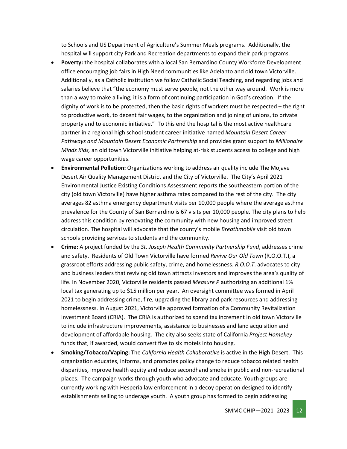to Schools and US Department of Agriculture's Summer Meals programs. Additionally, the hospital will support city Park and Recreation departments to expand their park programs.

- **Poverty:** the hospital collaborates with a local San Bernardino County Workforce Development office encouraging job fairs in High Need communities like Adelanto and old town Victorville. Additionally, as a Catholic institution we follow Catholic Social Teaching, and regarding jobs and salaries believe that "the economy must serve people, not the other way around. Work is more than a way to make a living; it is a form of continuing participation in God's creation. If the dignity of work is to be protected, then the basic rights of workers must be respected – the right to productive work, to decent fair wages, to the organization and joining of unions, to private property and to economic initiative." To this end the hospital is the most active healthcare partner in a regional high school student career initiative named *Mountain Desert Career Pathways and Mountain Desert Economic Partnership* and provides grant support to *Millionaire Minds Kids,* an old town Victorville initiative helping at-risk students access to college and high wage career opportunities.
- **Environmental Pollution:** Organizations working to address air quality include The Mojave Desert Air Quality Management District and the City of Victorville. The City's April 2021 Environmental Justice Existing Conditions Assessment reports the southeastern portion of the city (old town Victorville) have higher asthma rates compared to the rest of the city. The city averages 82 asthma emergency department visits per 10,000 people where the average asthma prevalence for the County of San Bernardino is 67 visits per 10,000 people. The city plans to help address this condition by renovating the community with new housing and improved street circulation. The hospital will advocate that the county's mobile *Breathmobile* visit old town schools providing services to students and the community.
- **Crime:** A project funded by the *St. Joseph Health Community Partnership Fund*, addresses crime and safety. Residents of Old Town Victorville have formed *Revive Our Old Town* (R.O.O.T.), a grassroot efforts addressing public safety, crime, and homelessness. *R.O.O.T*. advocates to city and business leaders that reviving old town attracts investors and improves the area's quality of life. In November 2020, Victorville residents passed *Measure P* authorizing an additional 1% local tax generating up to \$15 million per year. An oversight committee was formed in April 2021 to begin addressing crime, fire, upgrading the library and park resources and addressing homelessness. In August 2021, Victorville approved formation of a Community Revitalization Investment Board (CRIA). The CRIA is authorized to spend tax increment in old town Victorville to include infrastructure improvements, assistance to businesses and land acquisition and development of affordable housing. The city also seeks state of California *Project Homekey* funds that, if awarded, would convert five to six motels into housing.
- **Smoking/Tobacco/Vaping:** The *California Health Collaborative* is active in the High Desert. This organization educates, informs, and promotes policy change to reduce tobacco related health disparities, improve health equity and reduce secondhand smoke in public and non-recreational places. The campaign works through youth who advocate and educate. Youth groups are currently working with Hesperia law enforcement in a decoy operation designed to identify establishments selling to underage youth. A youth group has formed to begin addressing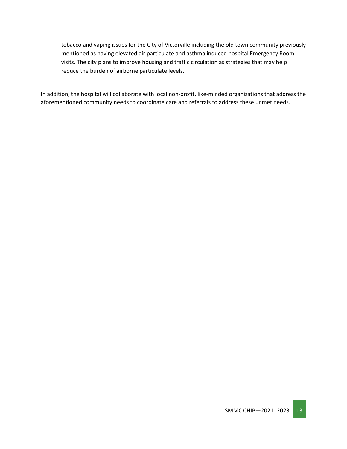tobacco and vaping issues for the City of Victorville including the old town community previously mentioned as having elevated air particulate and asthma induced hospital Emergency Room visits. The city plans to improve housing and traffic circulation as strategies that may help reduce the burden of airborne particulate levels.

In addition, the hospital will collaborate with local non-profit, like-minded organizations that address the aforementioned community needs to coordinate care and referrals to address these unmet needs.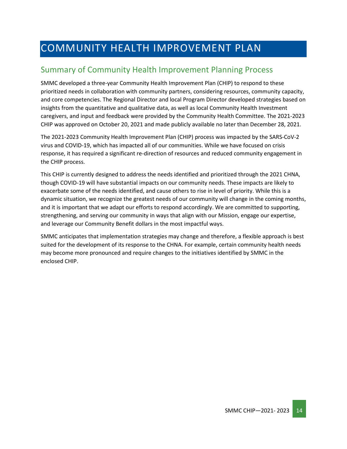## <span id="page-13-0"></span>COMMUNITY HEALTH IMPROVEMENT PLAN

## <span id="page-13-1"></span>Summary of Community Health Improvement Planning Process

SMMC developed a three-year Community Health Improvement Plan (CHIP) to respond to these prioritized needs in collaboration with community partners, considering resources, community capacity, and core competencies. The Regional Director and local Program Director developed strategies based on insights from the quantitative and qualitative data, as well as local Community Health Investment caregivers, and input and feedback were provided by the Community Health Committee. The 2021-2023 CHIP was approved on October 20, 2021 and made publicly available no later than December 28, 2021.

The 2021-2023 Community Health Improvement Plan (CHIP) process was impacted by the SARS-CoV-2 virus and COVID-19, which has impacted all of our communities. While we have focused on crisis response, it has required a significant re-direction of resources and reduced community engagement in the CHIP process.

This CHIP is currently designed to address the needs identified and prioritized through the 2021 CHNA, though COVID-19 will have substantial impacts on our community needs. These impacts are likely to exacerbate some of the needs identified, and cause others to rise in level of priority. While this is a dynamic situation, we recognize the greatest needs of our community will change in the coming months, and it is important that we adapt our efforts to respond accordingly. We are committed to supporting, strengthening, and serving our community in ways that align with our Mission, engage our expertise, and leverage our Community Benefit dollars in the most impactful ways.

SMMC anticipates that implementation strategies may change and therefore, a flexible approach is best suited for the development of its response to the CHNA. For example, certain community health needs may become more pronounced and require changes to the initiatives identified by SMMC in the enclosed CHIP.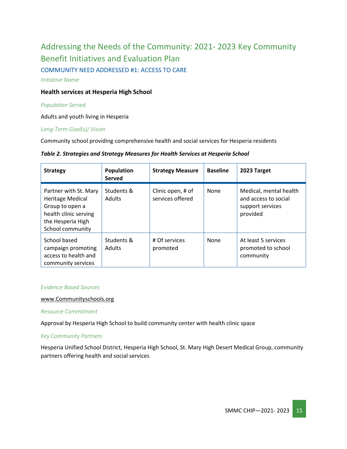## <span id="page-14-0"></span>Addressing the Needs of the Community: 2021- 2023 Key Community Benefit Initiatives and Evaluation Plan COMMUNITY NEED ADDRESSED #1: ACCESS TO CARE

*Initiative Name*

#### **Health services at Hesperia High School**

#### *Population Served*

Adults and youth living in Hesperia

#### *Long-Term Goal(s)/ Vision*

Community school providing comprehensive health and social services for Hesperia residents

#### *Table 2. Strategies and Strategy Measures for Health Services at Hesperia School*

| <b>Strategy</b>                                                                                                                       | Population<br><b>Served</b> | <b>Strategy Measure</b>               | <b>Baseline</b> | 2023 Target                                                                    |
|---------------------------------------------------------------------------------------------------------------------------------------|-----------------------------|---------------------------------------|-----------------|--------------------------------------------------------------------------------|
| Partner with St. Mary<br><b>Heritage Medical</b><br>Group to open a<br>health clinic serving<br>the Hesperia High<br>School community | Students &<br><b>Adults</b> | Clinic open, # of<br>services offered | None            | Medical, mental health<br>and access to social<br>support services<br>provided |
| School based<br>campaign promoting<br>access to health and<br>community services                                                      | Students &<br><b>Adults</b> | # Of services<br>promoted             | <b>None</b>     | At least 5 services<br>promoted to school<br>community                         |

#### *Evidence Based Sources*

#### [www.Communityschools.org](http://www.communityschools.org/)

*Resource Commitment*

Approval by Hesperia High School to build community center with health clinic space

#### *Key Community Partners*

Hesperia Unified School District, Hesperia High School, St. Mary High Desert Medical Group, community partners offering health and social services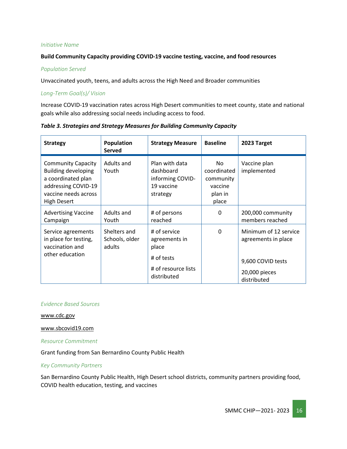#### **Build Community Capacity providing COVID-19 vaccine testing, vaccine, and food resources**

#### *Population Served*

Unvaccinated youth, teens, and adults across the High Need and Broader communities

#### *Long-Term Goal(s)/ Vision*

Increase COVID-19 vaccination rates across High Desert communities to meet county, state and national goals while also addressing social needs including access to food.

| <b>Strategy</b>                                                                                                                                    | Population<br>Served                     | <b>Strategy Measure</b>                                                   | <b>Baseline</b>                                                | 2023 Target                                       |
|----------------------------------------------------------------------------------------------------------------------------------------------------|------------------------------------------|---------------------------------------------------------------------------|----------------------------------------------------------------|---------------------------------------------------|
| <b>Community Capacity</b><br><b>Building developing</b><br>a coordinated plan<br>addressing COVID-19<br>vaccine needs across<br><b>High Desert</b> | Adults and<br>Youth                      | Plan with data<br>dashboard<br>informing COVID-<br>19 vaccine<br>strategy | No.<br>coordinated<br>community<br>vaccine<br>plan in<br>place | Vaccine plan<br>implemented                       |
| <b>Advertising Vaccine</b><br>Campaign                                                                                                             | Adults and<br>Youth                      | # of persons<br>reached                                                   | 0                                                              | 200,000 community<br>members reached              |
| Service agreements<br>in place for testing,<br>vaccination and                                                                                     | Shelters and<br>Schools, older<br>adults | # of service<br>agreements in<br>place                                    | $\Omega$                                                       | Minimum of 12 service<br>agreements in place      |
| other education                                                                                                                                    |                                          | # of tests<br># of resource lists<br>distributed                          |                                                                | 9,600 COVID tests<br>20,000 pieces<br>distributed |

*Table 3. Strategies and Strategy Measures for Building Community Capacity*

#### *Evidence Based Sources*

[www.cdc.gov](http://www.cdc.gov/)

#### [www.sbcovid19.com](http://www.sbcovid19.com/)

*Resource Commitment*

Grant funding from San Bernardino County Public Health

#### *Key Community Partners*

San Bernardino County Public Health, High Desert school districts, community partners providing food, COVID health education, testing, and vaccines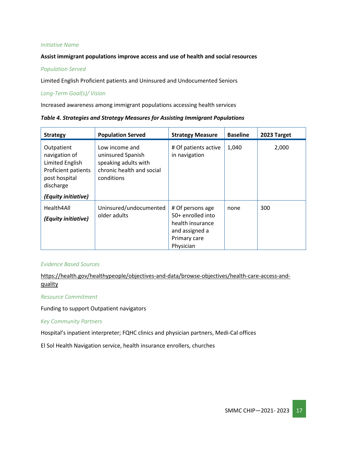#### **Assist immigrant populations improve access and use of health and social resources**

#### *Population Served*

Limited English Proficient patients and Uninsured and Undocumented Seniors

#### *Long-Term Goal(s)/ Vision*

Increased awareness among immigrant populations accessing health services

*Table 4. Strategies and Strategy Measures for Assisting Immigrant Populations*

| <b>Strategy</b>                                                                                                            | <b>Population Served</b>                                                                               | <b>Strategy Measure</b>                                                                                  | <b>Baseline</b> | 2023 Target |
|----------------------------------------------------------------------------------------------------------------------------|--------------------------------------------------------------------------------------------------------|----------------------------------------------------------------------------------------------------------|-----------------|-------------|
| Outpatient<br>navigation of<br>Limited English<br>Proficient patients<br>post hospital<br>discharge<br>(Equity initiative) | Low income and<br>uninsured Spanish<br>speaking adults with<br>chronic health and social<br>conditions | # Of patients active<br>in navigation                                                                    | 1,040           | 2,000       |
| Health4All<br>(Equity initiative)                                                                                          | Uninsured/undocumented<br>older adults                                                                 | # Of persons age<br>50+ enrolled into<br>health insurance<br>and assigned a<br>Primary care<br>Physician | none            | 300         |

#### *Evidence Based Sources*

[https://health.gov/healthypeople/objectives-and-data/browse-objectives/health-care-access-and](https://health.gov/healthypeople/objectives-and-data/browse-objectives/health-care-access-and-quality)[quality](https://health.gov/healthypeople/objectives-and-data/browse-objectives/health-care-access-and-quality)

*Resource Commitment*

Funding to support Outpatient navigators

#### *Key Community Partners*

Hospital's inpatient interpreter; FQHC clinics and physician partners, Medi-Cal offices

El Sol Health Navigation service, health insurance enrollers, churches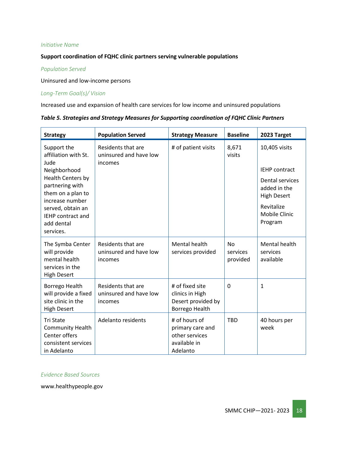#### **Support coordination of FQHC clinic partners serving vulnerable populations**

#### *Population Served*

Uninsured and low-income persons

#### *Long-Term Goal(s)/ Vision*

Increased use and expansion of health care services for low income and uninsured populations

|  |  | Table 5. Strategies and Strategy Measures for Supporting coordination of FQHC Clinic Partners |
|--|--|-----------------------------------------------------------------------------------------------|
|--|--|-----------------------------------------------------------------------------------------------|

| <b>Strategy</b>                                                                                                                                                                                                         | <b>Population Served</b>                                | <b>Strategy Measure</b>                                                         | <b>Baseline</b>                   | 2023 Target                                                                                                                                            |
|-------------------------------------------------------------------------------------------------------------------------------------------------------------------------------------------------------------------------|---------------------------------------------------------|---------------------------------------------------------------------------------|-----------------------------------|--------------------------------------------------------------------------------------------------------------------------------------------------------|
| Support the<br>affiliation with St.<br>Jude<br>Neighborhood<br>Health Centers by<br>partnering with<br>them on a plan to<br>increase number<br>served, obtain an<br><b>IEHP</b> contract and<br>add dental<br>services. | Residents that are<br>uninsured and have low<br>incomes | # of patient visits                                                             | 8,671<br>visits                   | 10,405 visits<br><b>IEHP</b> contract<br><b>Dental services</b><br>added in the<br><b>High Desert</b><br>Revitalize<br><b>Mobile Clinic</b><br>Program |
| The Symba Center<br>will provide<br>mental health<br>services in the<br><b>High Desert</b>                                                                                                                              | Residents that are<br>uninsured and have low<br>incomes | Mental health<br>services provided                                              | <b>No</b><br>services<br>provided | Mental health<br>services<br>available                                                                                                                 |
| Borrego Health<br>will provide a fixed<br>site clinic in the<br><b>High Desert</b>                                                                                                                                      | Residents that are<br>uninsured and have low<br>incomes | # of fixed site<br>clinics in High<br>Desert provided by<br>Borrego Health      | $\Omega$                          | $\mathbf{1}$                                                                                                                                           |
| <b>Tri State</b><br><b>Community Health</b><br>Center offers<br>consistent services<br>in Adelanto                                                                                                                      | Adelanto residents                                      | # of hours of<br>primary care and<br>other services<br>available in<br>Adelanto | <b>TBD</b>                        | 40 hours per<br>week                                                                                                                                   |

#### *Evidence Based Sources*

www.healthypeople.gov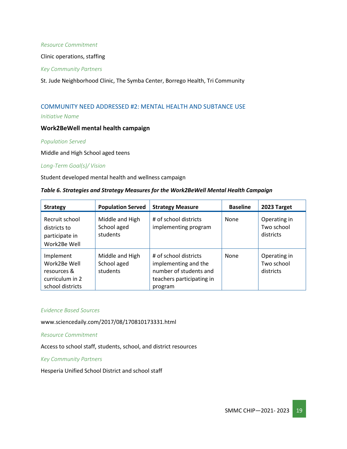#### *Resource Commitment*

Clinic operations, staffing

#### *Key Community Partners*

St. Jude Neighborhood Clinic, The Symba Center, Borrego Health, Tri Community

## COMMUNITY NEED ADDRESSED #2: MENTAL HEALTH AND SUBTANCE USE

*Initiative Name*

#### **Work2BeWell mental health campaign**

#### *Population Served*

Middle and High School aged teens

#### *Long-Term Goal(s)/ Vision*

Student developed mental health and wellness campaign

#### *Table 6. Strategies and Strategy Measures for the Work2BeWell Mental Health Campaign*

| <b>Strategy</b>                                                                 | <b>Population Served</b>                   | <b>Strategy Measure</b>                                                                                         | <b>Baseline</b> | 2023 Target                             |
|---------------------------------------------------------------------------------|--------------------------------------------|-----------------------------------------------------------------------------------------------------------------|-----------------|-----------------------------------------|
| Recruit school<br>districts to<br>participate in<br>Work2Be Well                | Middle and High<br>School aged<br>students | # of school districts<br>implementing program                                                                   | None            | Operating in<br>Two school<br>districts |
| Implement<br>Work2Be Well<br>resources &<br>curriculum in 2<br>school districts | Middle and High<br>School aged<br>students | # of school districts<br>implementing and the<br>number of students and<br>teachers participating in<br>program | None            | Operating in<br>Two school<br>districts |

#### *Evidence Based Sources*

www.sciencedaily.com/2017/08/170810173331.html

#### *Resource Commitment*

Access to school staff, students, school, and district resources

#### *Key Community Partners*

Hesperia Unified School District and school staff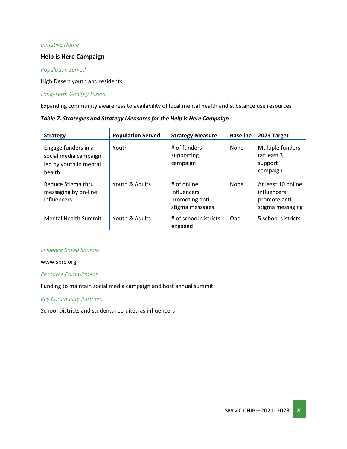#### **Help is Here Campaign**

#### *Population Served*

High Desert youth and residents

#### *Long-Term Goal(s)/ Vision*

Expanding community awareness to availability of local mental health and substance use resources

| Table 7. Strategies and Strategy Measures for the Help is Here Campaign |  |  |  |
|-------------------------------------------------------------------------|--|--|--|
|                                                                         |  |  |  |

| <b>Strategy</b>                                                                  | <b>Population Served</b> | <b>Strategy Measure</b>                                          | <b>Baseline</b> | 2023 Target                                                            |
|----------------------------------------------------------------------------------|--------------------------|------------------------------------------------------------------|-----------------|------------------------------------------------------------------------|
| Engage funders in a<br>social media campaign<br>led by youth in mental<br>health | Youth                    | # of funders<br>supporting<br>campaign                           | None            | Multiple funders<br>(at least 3)<br>support<br>campaign                |
| Reduce Stigma thru<br>messaging by on-line<br>influencers                        | Youth & Adults           | # of online<br>influencers<br>promoting anti-<br>stigma messages | None            | At least 10 online<br>influencers<br>promote anti-<br>stigma messaging |
| <b>Mental Health Summit</b>                                                      | Youth & Adults           | # of school districts<br>engaged                                 | One             | 5 school districts                                                     |

#### *Evidence Based Sources*

#### www.sprc.org

#### *Resource Commitment*

Funding to maintain social media campaign and host annual summit

#### *Key Community Partners*

School Districts and students recruited as influencers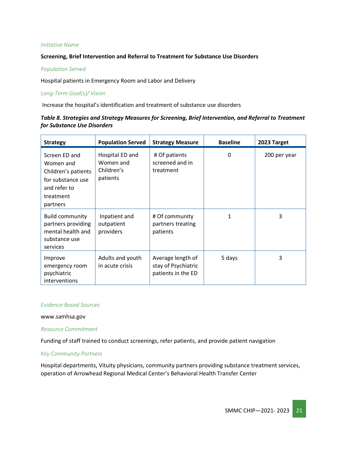#### **Screening, Brief Intervention and Referral to Treatment for Substance Use Disorders**

#### *Population Served*

Hospital patients in Emergency Room and Labor and Delivery

#### *Long-Term Goal(s)/ Vision*

Increase the hospital's identification and treatment of substance use disorders

#### *Table 8. Strategies and Strategy Measures for Screening, Brief Intervention, and Referral to Treatment for Substance Use Disorders*

| <b>Strategy</b>                                                                                                 | <b>Population Served</b>                               | <b>Strategy Measure</b>                                        | <b>Baseline</b> | 2023 Target  |
|-----------------------------------------------------------------------------------------------------------------|--------------------------------------------------------|----------------------------------------------------------------|-----------------|--------------|
| Screen ED and<br>Women and<br>Children's patients<br>for substance use<br>and refer to<br>treatment<br>partners | Hospital ED and<br>Women and<br>Children's<br>patients | # Of patients<br>screened and in<br>treatment                  | 0               | 200 per year |
| <b>Build community</b><br>partners providing<br>mental health and<br>substance use<br>services                  | Inpatient and<br>outpatient<br>providers               | # Of community<br>partners treating<br>patients                | 1               | 3            |
| Improve<br>emergency room<br>psychiatric<br>interventions                                                       | Adults and youth<br>in acute crisis                    | Average length of<br>stay of Psychiatric<br>patients in the ED | 5 days          | 3            |

#### *Evidence Based Sources*

www.samhsa.gov

#### *Resource Commitment*

Funding of staff trained to conduct screenings, refer patients, and provide patient navigation

#### *Key Community Partners*

Hospital departments, Vituity physicians, community partners providing substance treatment services, operation of Arrowhead Regional Medical Center's Behavioral Health Transfer Center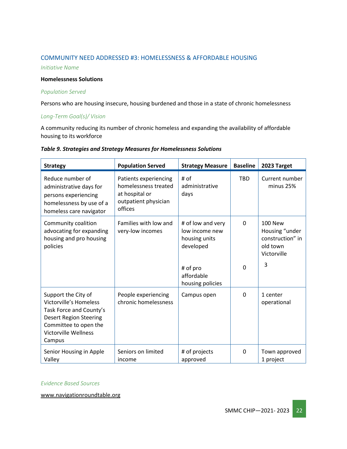#### COMMUNITY NEED ADDRESSED #3: HOMELESSNESS & AFFORDABLE HOUSING

*Initiative Name*

#### **Homelessness Solutions**

#### *Population Served*

Persons who are housing insecure, housing burdened and those in a state of chronic homelessness

#### *Long-Term Goal(s)/ Vision*

A community reducing its number of chronic homeless and expanding the availability of affordable housing to its workforce

| Table 9. Strategies and Strategy Measures for Homelessness Solutions |  |  |  |
|----------------------------------------------------------------------|--|--|--|
|----------------------------------------------------------------------|--|--|--|

| <b>Strategy</b>                                                                                                                                                                    | <b>Population Served</b>                                                                           | <b>Strategy Measure</b>                                           | <b>Baseline</b> | 2023 Target                                                                     |
|------------------------------------------------------------------------------------------------------------------------------------------------------------------------------------|----------------------------------------------------------------------------------------------------|-------------------------------------------------------------------|-----------------|---------------------------------------------------------------------------------|
| Reduce number of<br>administrative days for<br>persons experiencing<br>homelessness by use of a<br>homeless care navigator                                                         | Patients experiencing<br>homelessness treated<br>at hospital or<br>outpatient physician<br>offices | # of<br>administrative<br>days                                    | <b>TBD</b>      | Current number<br>minus 25%                                                     |
| Community coalition<br>advocating for expanding<br>housing and pro housing<br>policies                                                                                             | Families with low and<br>very-low incomes                                                          | # of low and very<br>low income new<br>housing units<br>developed | 0               | <b>100 New</b><br>Housing "under<br>construction" in<br>old town<br>Victorville |
|                                                                                                                                                                                    |                                                                                                    | # of pro<br>affordable<br>housing policies                        | $\Omega$        | 3                                                                               |
| Support the City of<br><b>Victorville's Homeless</b><br>Task Force and County's<br><b>Desert Region Steering</b><br>Committee to open the<br><b>Victorville Wellness</b><br>Campus | People experiencing<br>chronic homelessness                                                        | Campus open                                                       | 0               | 1 center<br>operational                                                         |
| Senior Housing in Apple<br>Valley                                                                                                                                                  | Seniors on limited<br>income                                                                       | # of projects<br>approved                                         | 0               | Town approved<br>1 project                                                      |

#### *Evidence Based Sources*

[www.navigationroundtable.org](http://www.navigationroundtable.org/)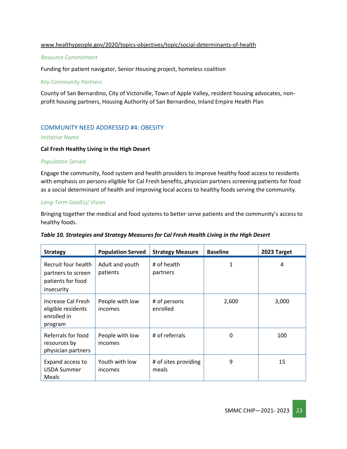#### [www.healthypeople.gov/2020/topics-objectives/topic/social-determinants-of-health](http://www.healthypeople.gov/2020/topics-objectives/topic/social-determinants-of-health)

#### *Resource Commitment*

Funding for patient navigator, Senior Housing project, homeless coalition

#### *Key Community Partners*

County of San Bernardino, City of Victorville, Town of Apple Valley, resident housing advocates, nonprofit housing partners, Housing Authority of San Bernardino, Inland Empire Health Plan

#### COMMUNITY NEED ADDRESSED #4: OBESITY

#### *Initiative Name*

#### **Cal Fresh Healthy Living in the High Desert**

#### *Population Served*

Engage the community, food system and health providers to improve healthy food access to residents with emphasis on persons eligible for Cal Fresh benefits, physician partners screening patients for food as a social determinant of health and improving local access to healthy foods serving the community.

#### *Long-Term Goal(s)/ Vision*

Bringing together the medical and food systems to better serve patients and the community's access to healthy foods.

|  | Table 10. Strategies and Strategy Measures for Cal Fresh Health Living in the High Desert |  |
|--|-------------------------------------------------------------------------------------------|--|
|--|-------------------------------------------------------------------------------------------|--|

| <b>Strategy</b>                                                              | <b>Population Served</b>    | <b>Strategy Measure</b>       | <b>Baseline</b> | 2023 Target |
|------------------------------------------------------------------------------|-----------------------------|-------------------------------|-----------------|-------------|
| Recruit four health<br>partners to screen<br>patients for food<br>insecurity | Adult and youth<br>patients | # of health<br>partners       |                 | 4           |
| Increase Cal Fresh<br>eligible residents<br>enrolled in<br>program           | People with low<br>incomes  | # of persons<br>enrolled      | 2,600           | 3,000       |
| Referrals for food<br>resources by<br>physician partners                     | People with low<br>incomes  | # of referrals                | 0               | 100         |
| Expand access to<br><b>USDA Summer</b><br>Meals                              | Youth with low<br>incomes   | # of sites providing<br>meals | 9               | 15          |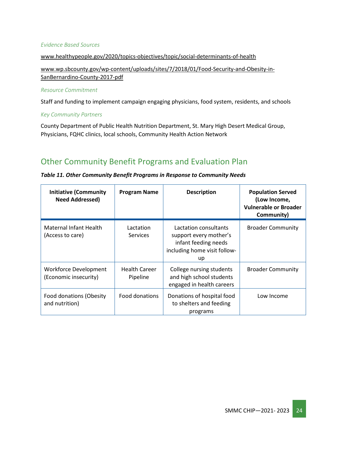#### *Evidence Based Sources*

#### [www.healthypeople.gov/2020/topics-objectives/topic/social-determinants-of-health](http://www.healthypeople.gov/2020/topics-objectives/topic/social-determinants-of-health)

[www.wp.sbcounty.gov/wp-content/uploads/sites/7/2018/01/Food-Security-and-Obesity-in-](http://www.wp.sbcounty.gov/wp-content/uploads/sites/7/2018/01/Food-Security-and-Obesity-in-SanBernardino-County-2017-pdf)[SanBernardino-County-2017-pdf](http://www.wp.sbcounty.gov/wp-content/uploads/sites/7/2018/01/Food-Security-and-Obesity-in-SanBernardino-County-2017-pdf)

#### *Resource Commitment*

Staff and funding to implement campaign engaging physicians, food system, residents, and schools

#### *Key Community Partners*

County Department of Public Health Nutrition Department, St. Mary High Desert Medical Group, Physicians, FQHC clinics, local schools, Community Health Action Network

### <span id="page-23-0"></span>Other Community Benefit Programs and Evaluation Plan

#### *Table 11. Other Community Benefit Programs in Response to Community Needs*

| <b>Initiative (Community</b><br><b>Need Addressed)</b> | <b>Program Name</b>              | <b>Description</b>                                                                                            | <b>Population Served</b><br>(Low Income,<br><b>Vulnerable or Broader</b><br>Community) |
|--------------------------------------------------------|----------------------------------|---------------------------------------------------------------------------------------------------------------|----------------------------------------------------------------------------------------|
| <b>Maternal Infant Health</b><br>(Access to care)      | Lactation<br><b>Services</b>     | Lactation consultants<br>support every mother's<br>infant feeding needs<br>including home visit follow-<br>up | <b>Broader Community</b>                                                               |
| Workforce Development<br>(Economic insecurity)         | <b>Health Career</b><br>Pipeline | College nursing students<br>and high school students<br>engaged in health careers                             | <b>Broader Community</b>                                                               |
| Food donations (Obesity<br>and nutrition)              | Food donations                   | Donations of hospital food<br>to shelters and feeding<br>programs                                             | Low Income                                                                             |